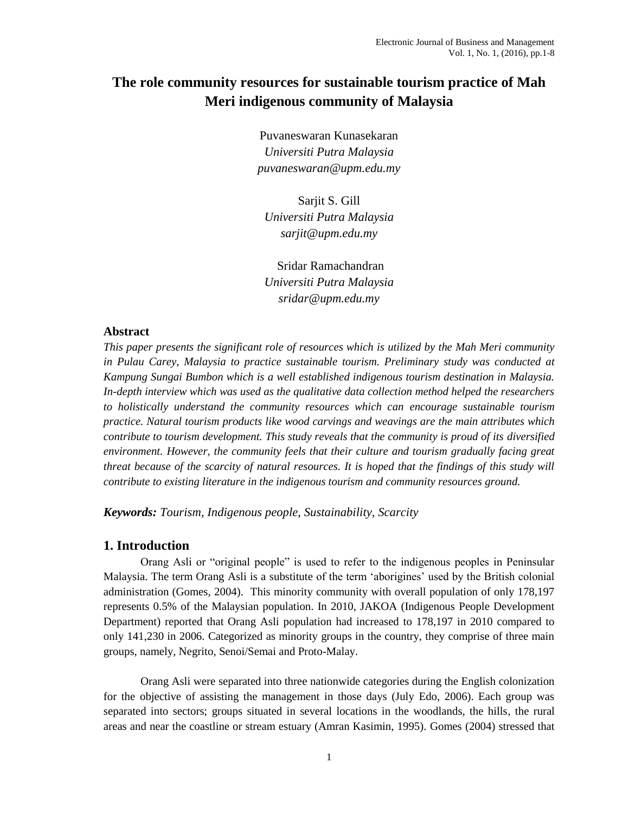# **The role community resources for sustainable tourism practice of Mah Meri indigenous community of Malaysia**

Puvaneswaran Kunasekaran *Universiti Putra Malaysia puvaneswaran@upm.edu.my*

Sarjit S. Gill *Universiti Putra Malaysia sarjit@upm.edu.my*

Sridar Ramachandran *Universiti Putra Malaysia sridar@upm.edu.my*

#### **Abstract**

*This paper presents the significant role of resources which is utilized by the Mah Meri community in Pulau Carey, Malaysia to practice sustainable tourism. Preliminary study was conducted at Kampung Sungai Bumbon which is a well established indigenous tourism destination in Malaysia. In-depth interview which was used as the qualitative data collection method helped the researchers to holistically understand the community resources which can encourage sustainable tourism practice. Natural tourism products like wood carvings and weavings are the main attributes which contribute to tourism development. This study reveals that the community is proud of its diversified environment. However, the community feels that their culture and tourism gradually facing great threat because of the scarcity of natural resources. It is hoped that the findings of this study will contribute to existing literature in the indigenous tourism and community resources ground.*

*Keywords: Tourism, Indigenous people, Sustainability, Scarcity*

#### **1. Introduction**

Orang Asli or "original people" is used to refer to the indigenous peoples in Peninsular Malaysia. The term Orang Asli is a substitute of the term 'aborigines' used by the British colonial administration (Gomes, 2004). This minority community with overall population of only 178,197 represents 0.5% of the Malaysian population. In 2010, JAKOA (Indigenous People Development Department) reported that Orang Asli population had increased to 178,197 in 2010 compared to only 141,230 in 2006. Categorized as minority groups in the country, they comprise of three main groups, namely, Negrito, Senoi/Semai and Proto-Malay.

Orang Asli were separated into three nationwide categories during the English colonization for the objective of assisting the management in those days (July Edo, 2006). Each group was separated into sectors; groups situated in several locations in the woodlands, the hills, the rural areas and near the coastline or stream estuary (Amran Kasimin, 1995). Gomes (2004) stressed that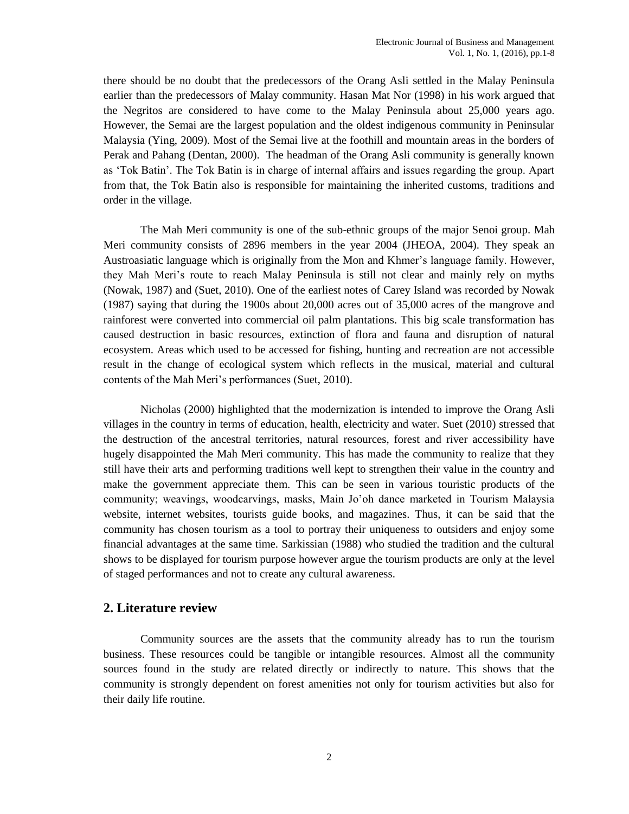there should be no doubt that the predecessors of the Orang Asli settled in the Malay Peninsula earlier than the predecessors of Malay community. Hasan Mat Nor (1998) in his work argued that the Negritos are considered to have come to the Malay Peninsula about 25,000 years ago. However, the Semai are the largest population and the oldest indigenous community in Peninsular Malaysia (Ying, 2009). Most of the Semai live at the foothill and mountain areas in the borders of Perak and Pahang (Dentan, 2000). The headman of the Orang Asli community is generally known as "Tok Batin". The Tok Batin is in charge of internal affairs and issues regarding the group. Apart from that, the Tok Batin also is responsible for maintaining the inherited customs, traditions and order in the village.

The Mah Meri community is one of the sub-ethnic groups of the major Senoi group. Mah Meri community consists of 2896 members in the year 2004 (JHEOA, 2004). They speak an Austroasiatic language which is originally from the Mon and Khmer"s language family. However, they Mah Meri"s route to reach Malay Peninsula is still not clear and mainly rely on myths (Nowak, 1987) and (Suet, 2010). One of the earliest notes of Carey Island was recorded by Nowak (1987) saying that during the 1900s about 20,000 acres out of 35,000 acres of the mangrove and rainforest were converted into commercial oil palm plantations. This big scale transformation has caused destruction in basic resources, extinction of flora and fauna and disruption of natural ecosystem. Areas which used to be accessed for fishing, hunting and recreation are not accessible result in the change of ecological system which reflects in the musical, material and cultural contents of the Mah Meri"s performances (Suet, 2010).

Nicholas (2000) highlighted that the modernization is intended to improve the Orang Asli villages in the country in terms of education, health, electricity and water. Suet (2010) stressed that the destruction of the ancestral territories, natural resources, forest and river accessibility have hugely disappointed the Mah Meri community. This has made the community to realize that they still have their arts and performing traditions well kept to strengthen their value in the country and make the government appreciate them. This can be seen in various touristic products of the community; weavings, woodcarvings, masks, Main Jo"oh dance marketed in Tourism Malaysia website, internet websites, tourists guide books, and magazines. Thus, it can be said that the community has chosen tourism as a tool to portray their uniqueness to outsiders and enjoy some financial advantages at the same time. Sarkissian (1988) who studied the tradition and the cultural shows to be displayed for tourism purpose however argue the tourism products are only at the level of staged performances and not to create any cultural awareness.

### **2. Literature review**

Community sources are the assets that the community already has to run the tourism business. These resources could be tangible or intangible resources. Almost all the community sources found in the study are related directly or indirectly to nature. This shows that the community is strongly dependent on forest amenities not only for tourism activities but also for their daily life routine.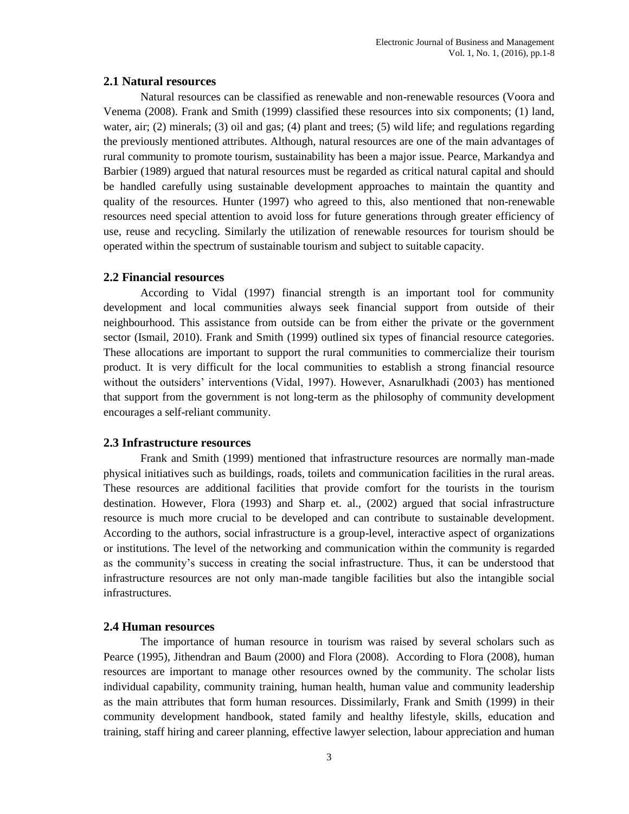#### **2.1 Natural resources**

Natural resources can be classified as renewable and non-renewable resources (Voora and Venema (2008). Frank and Smith (1999) classified these resources into six components; (1) land, water, air; (2) minerals; (3) oil and gas; (4) plant and trees; (5) wild life; and regulations regarding the previously mentioned attributes. Although, natural resources are one of the main advantages of rural community to promote tourism, sustainability has been a major issue. Pearce, Markandya and Barbier (1989) argued that natural resources must be regarded as critical natural capital and should be handled carefully using sustainable development approaches to maintain the quantity and quality of the resources. Hunter (1997) who agreed to this, also mentioned that non-renewable resources need special attention to avoid loss for future generations through greater efficiency of use, reuse and recycling. Similarly the utilization of renewable resources for tourism should be operated within the spectrum of sustainable tourism and subject to suitable capacity.

#### **2.2 Financial resources**

According to Vidal (1997) financial strength is an important tool for community development and local communities always seek financial support from outside of their neighbourhood. This assistance from outside can be from either the private or the government sector (Ismail, 2010). Frank and Smith (1999) outlined six types of financial resource categories. These allocations are important to support the rural communities to commercialize their tourism product. It is very difficult for the local communities to establish a strong financial resource without the outsiders" interventions (Vidal, 1997). However, Asnarulkhadi (2003) has mentioned that support from the government is not long-term as the philosophy of community development encourages a self-reliant community.

#### **2.3 Infrastructure resources**

Frank and Smith (1999) mentioned that infrastructure resources are normally man-made physical initiatives such as buildings, roads, toilets and communication facilities in the rural areas. These resources are additional facilities that provide comfort for the tourists in the tourism destination. However, Flora (1993) and Sharp et. al., (2002) argued that social infrastructure resource is much more crucial to be developed and can contribute to sustainable development. According to the authors, social infrastructure is a group-level, interactive aspect of organizations or institutions. The level of the networking and communication within the community is regarded as the community"s success in creating the social infrastructure. Thus, it can be understood that infrastructure resources are not only man-made tangible facilities but also the intangible social infrastructures.

#### **2.4 Human resources**

The importance of human resource in tourism was raised by several scholars such as Pearce (1995), Jithendran and Baum (2000) and Flora (2008). According to Flora (2008), human resources are important to manage other resources owned by the community. The scholar lists individual capability, community training, human health, human value and community leadership as the main attributes that form human resources. Dissimilarly, Frank and Smith (1999) in their community development handbook, stated family and healthy lifestyle, skills, education and training, staff hiring and career planning, effective lawyer selection, labour appreciation and human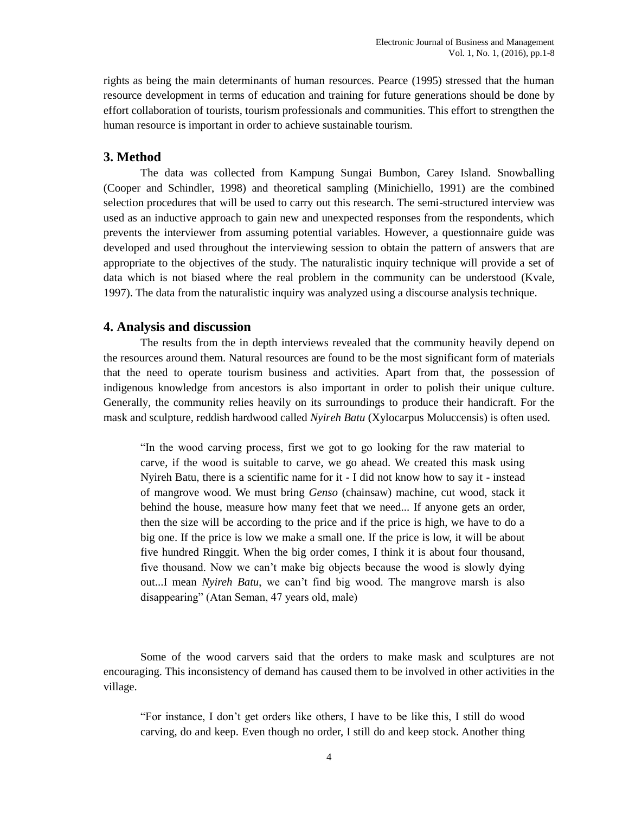rights as being the main determinants of human resources. Pearce (1995) stressed that the human resource development in terms of education and training for future generations should be done by effort collaboration of tourists, tourism professionals and communities. This effort to strengthen the human resource is important in order to achieve sustainable tourism.

## **3. Method**

The data was collected from Kampung Sungai Bumbon, Carey Island. Snowballing (Cooper and Schindler, 1998) and theoretical sampling (Minichiello, 1991) are the combined selection procedures that will be used to carry out this research. The semi-structured interview was used as an inductive approach to gain new and unexpected responses from the respondents, which prevents the interviewer from assuming potential variables. However, a questionnaire guide was developed and used throughout the interviewing session to obtain the pattern of answers that are appropriate to the objectives of the study. The naturalistic inquiry technique will provide a set of data which is not biased where the real problem in the community can be understood (Kvale, 1997). The data from the naturalistic inquiry was analyzed using a discourse analysis technique.

#### **4. Analysis and discussion**

The results from the in depth interviews revealed that the community heavily depend on the resources around them. Natural resources are found to be the most significant form of materials that the need to operate tourism business and activities. Apart from that, the possession of indigenous knowledge from ancestors is also important in order to polish their unique culture. Generally, the community relies heavily on its surroundings to produce their handicraft. For the mask and sculpture, reddish hardwood called *Nyireh Batu* (Xylocarpus Moluccensis) is often used.

"In the wood carving process, first we got to go looking for the raw material to carve, if the wood is suitable to carve, we go ahead. We created this mask using Nyireh Batu, there is a scientific name for it - I did not know how to say it - instead of mangrove wood. We must bring *Genso* (chainsaw) machine, cut wood, stack it behind the house, measure how many feet that we need... If anyone gets an order, then the size will be according to the price and if the price is high, we have to do a big one. If the price is low we make a small one. If the price is low, it will be about five hundred Ringgit. When the big order comes, I think it is about four thousand, five thousand. Now we can"t make big objects because the wood is slowly dying out...I mean *Nyireh Batu*, we can"t find big wood. The mangrove marsh is also disappearing" (Atan Seman, 47 years old, male)

Some of the wood carvers said that the orders to make mask and sculptures are not encouraging. This inconsistency of demand has caused them to be involved in other activities in the village.

"For instance, I don"t get orders like others, I have to be like this, I still do wood carving, do and keep. Even though no order, I still do and keep stock. Another thing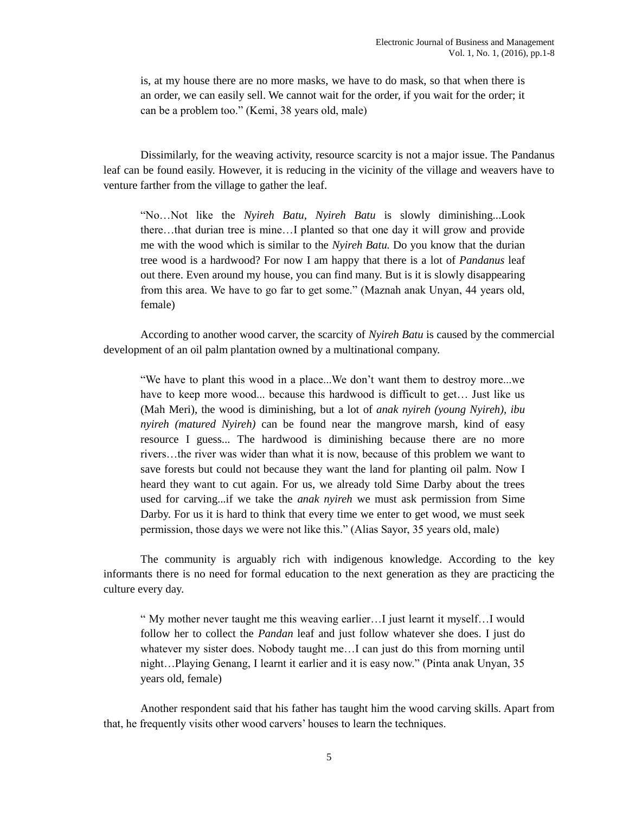is, at my house there are no more masks, we have to do mask, so that when there is an order, we can easily sell. We cannot wait for the order, if you wait for the order; it can be a problem too." (Kemi, 38 years old, male)

Dissimilarly, for the weaving activity, resource scarcity is not a major issue. The Pandanus leaf can be found easily. However, it is reducing in the vicinity of the village and weavers have to venture farther from the village to gather the leaf.

"No…Not like the *Nyireh Batu, Nyireh Batu* is slowly diminishing...Look there…that durian tree is mine…I planted so that one day it will grow and provide me with the wood which is similar to the *Nyireh Batu.* Do you know that the durian tree wood is a hardwood? For now I am happy that there is a lot of *Pandanus* leaf out there. Even around my house, you can find many. But is it is slowly disappearing from this area. We have to go far to get some." (Maznah anak Unyan, 44 years old, female)

According to another wood carver, the scarcity of *Nyireh Batu* is caused by the commercial development of an oil palm plantation owned by a multinational company.

"We have to plant this wood in a place...We don"t want them to destroy more...we have to keep more wood... because this hardwood is difficult to get… Just like us (Mah Meri), the wood is diminishing, but a lot of *anak nyireh (young Nyireh), ibu nyireh (matured Nyireh)* can be found near the mangrove marsh, kind of easy resource I guess... The hardwood is diminishing because there are no more rivers…the river was wider than what it is now, because of this problem we want to save forests but could not because they want the land for planting oil palm. Now I heard they want to cut again. For us, we already told Sime Darby about the trees used for carving...if we take the *anak nyireh* we must ask permission from Sime Darby. For us it is hard to think that every time we enter to get wood, we must seek permission, those days we were not like this." (Alias Sayor, 35 years old, male)

The community is arguably rich with indigenous knowledge. According to the key informants there is no need for formal education to the next generation as they are practicing the culture every day.

" My mother never taught me this weaving earlier…I just learnt it myself…I would follow her to collect the *Pandan* leaf and just follow whatever she does. I just do whatever my sister does. Nobody taught me...I can just do this from morning until night…Playing Genang, I learnt it earlier and it is easy now." (Pinta anak Unyan, 35 years old, female)

Another respondent said that his father has taught him the wood carving skills. Apart from that, he frequently visits other wood carvers" houses to learn the techniques.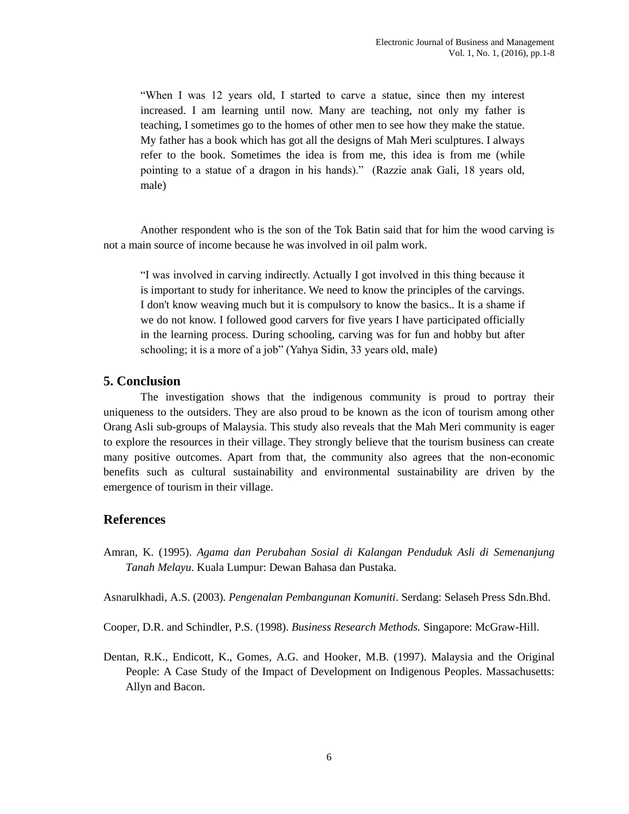"When I was 12 years old, I started to carve a statue, since then my interest increased. I am learning until now. Many are teaching, not only my father is teaching, I sometimes go to the homes of other men to see how they make the statue. My father has a book which has got all the designs of Mah Meri sculptures. I always refer to the book. Sometimes the idea is from me, this idea is from me (while pointing to a statue of a dragon in his hands)." (Razzie anak Gali, 18 years old, male)

Another respondent who is the son of the Tok Batin said that for him the wood carving is not a main source of income because he was involved in oil palm work.

"I was involved in carving indirectly. Actually I got involved in this thing because it is important to study for inheritance. We need to know the principles of the carvings. I don't know weaving much but it is compulsory to know the basics.. It is a shame if we do not know. I followed good carvers for five years I have participated officially in the learning process. During schooling, carving was for fun and hobby but after schooling; it is a more of a job" (Yahya Sidin, 33 years old, male)

## **5. Conclusion**

The investigation shows that the indigenous community is proud to portray their uniqueness to the outsiders. They are also proud to be known as the icon of tourism among other Orang Asli sub-groups of Malaysia. This study also reveals that the Mah Meri community is eager to explore the resources in their village. They strongly believe that the tourism business can create many positive outcomes. Apart from that, the community also agrees that the non-economic benefits such as cultural sustainability and environmental sustainability are driven by the emergence of tourism in their village.

# **References**

Amran, K. (1995). *Agama dan Perubahan Sosial di Kalangan Penduduk Asli di Semenanjung Tanah Melayu*. Kuala Lumpur: Dewan Bahasa dan Pustaka.

Asnarulkhadi, A.S. (2003)*. Pengenalan Pembangunan Komuniti*. Serdang: Selaseh Press Sdn.Bhd.

Cooper, D.R. and Schindler, P.S. (1998). *Business Research Methods.* Singapore: McGraw-Hill.

Dentan, R.K., Endicott, K., Gomes, A.G. and Hooker, M.B. (1997). Malaysia and the Original People: A Case Study of the Impact of Development on Indigenous Peoples. Massachusetts: Allyn and Bacon.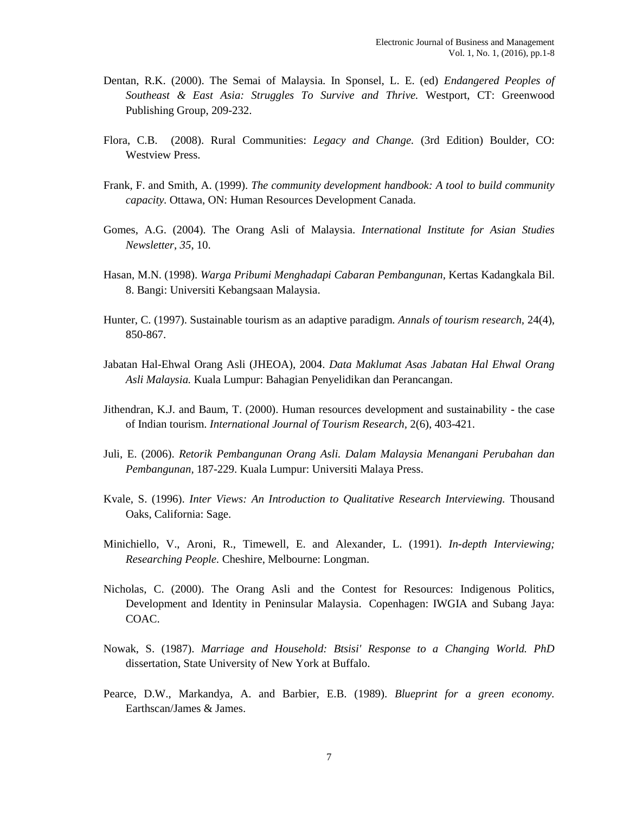- Dentan, R.K. (2000). The Semai of Malaysia. In Sponsel, L. E. (ed) *Endangered Peoples of Southeast & East Asia: Struggles To Survive and Thrive.* Westport, CT: Greenwood Publishing Group, 209-232.
- Flora, C.B. (2008). Rural Communities: *Legacy and Change.* (3rd Edition) Boulder, CO: Westview Press.
- Frank, F. and Smith, A. (1999). *The community development handbook: A tool to build community capacity.* Ottawa, ON: Human Resources Development Canada.
- Gomes, A.G. (2004). The Orang Asli of Malaysia. *International Institute for Asian Studies Newsletter*, *35*, 10.
- Hasan, M.N. (1998). *Warga Pribumi Menghadapi Cabaran Pembangunan,* Kertas Kadangkala Bil. 8. Bangi: Universiti Kebangsaan Malaysia.
- Hunter, C. (1997). Sustainable tourism as an adaptive paradigm. *Annals of tourism research,* 24(4), 850-867.
- Jabatan Hal-Ehwal Orang Asli (JHEOA), 2004. *Data Maklumat Asas Jabatan Hal Ehwal Orang Asli Malaysia.* Kuala Lumpur: Bahagian Penyelidikan dan Perancangan.
- Jithendran, K.J. and Baum, T. (2000). Human resources development and sustainability the case of Indian tourism. *International Journal of Tourism Research,* 2(6), 403-421.
- Juli, E. (2006). *Retorik Pembangunan Orang Asli. Dalam Malaysia Menangani Perubahan dan Pembangunan,* 187-229. Kuala Lumpur: Universiti Malaya Press.
- Kvale, S. (1996). *Inter Views: An Introduction to Qualitative Research Interviewing.* Thousand Oaks, California: Sage.
- Minichiello, V., Aroni, R., Timewell, E. and Alexander, L. (1991). *In-depth Interviewing; Researching People.* Cheshire, Melbourne: Longman.
- Nicholas, C. (2000). The Orang Asli and the Contest for Resources: Indigenous Politics, Development and Identity in Peninsular Malaysia. Copenhagen: IWGIA and Subang Jaya: COAC.
- Nowak, S. (1987). *Marriage and Household: Btsisi' Response to a Changing World. PhD* dissertation, State University of New York at Buffalo.
- Pearce, D.W., Markandya, A. and Barbier, E.B. (1989). *Blueprint for a green economy.* Earthscan/James & James.